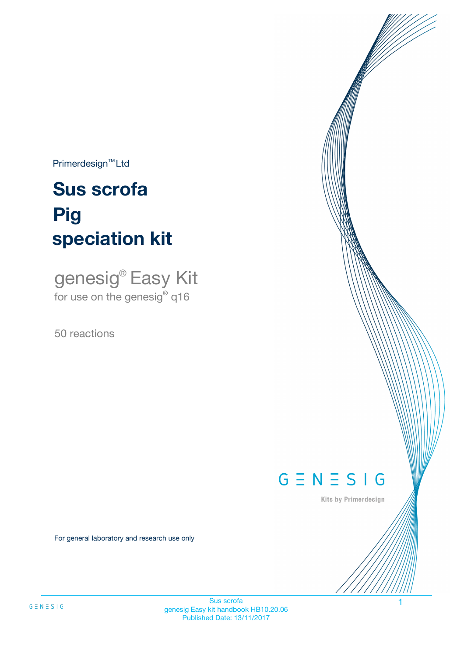$Primerdesign^{\text{TM}}Ltd$ 

# **Sus scrofa speciation kit Pig**

genesig® Easy Kit for use on the genesig**®** q16

50 reactions



Kits by Primerdesign

For general laboratory and research use only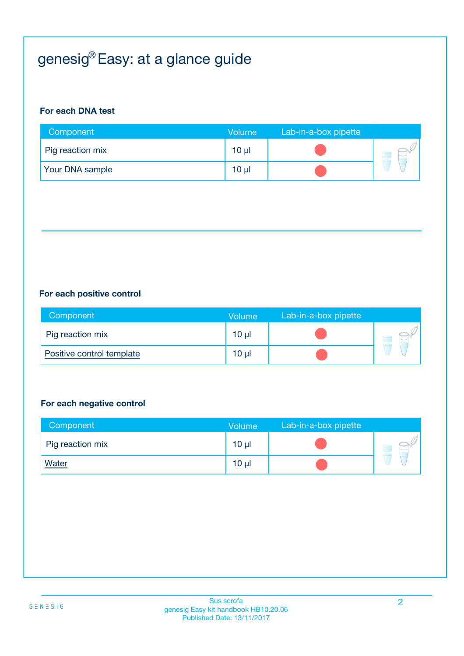# genesig® Easy: at a glance guide

#### **For each DNA test**

| Component        | Volume          | Lab-in-a-box pipette |  |
|------------------|-----------------|----------------------|--|
| Pig reaction mix | 10 <sub>µ</sub> |                      |  |
| Your DNA sample  | $10 \mu$        |                      |  |

#### **For each positive control**

| Component                 | <b>Volume</b>   | Lab-in-a-box pipette |  |
|---------------------------|-----------------|----------------------|--|
| Pig reaction mix          | 10 <sub>µ</sub> |                      |  |
| Positive control template | 10 <sub>µ</sub> |                      |  |

#### **For each negative control**

| Component        | <b>Volume</b>   | Lab-in-a-box pipette |  |
|------------------|-----------------|----------------------|--|
| Pig reaction mix | 10 <sub>µ</sub> |                      |  |
| <b>Water</b>     | $10 \mu$        |                      |  |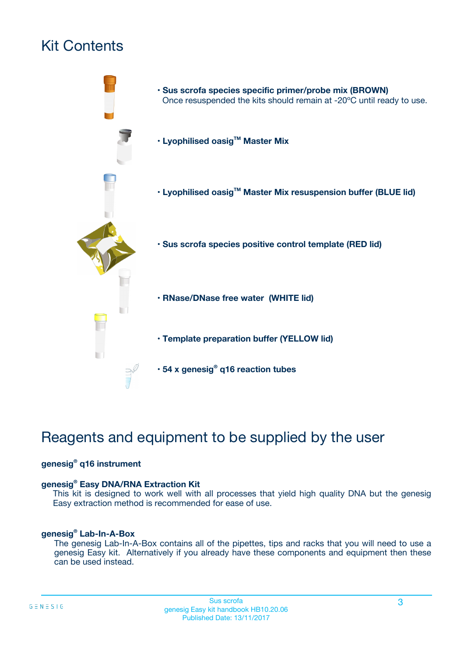# Kit Contents



# Reagents and equipment to be supplied by the user

#### **genesig® q16 instrument**

#### **genesig® Easy DNA/RNA Extraction Kit**

This kit is designed to work well with all processes that yield high quality DNA but the genesig Easy extraction method is recommended for ease of use.

#### **genesig® Lab-In-A-Box**

The genesig Lab-In-A-Box contains all of the pipettes, tips and racks that you will need to use a genesig Easy kit. Alternatively if you already have these components and equipment then these can be used instead.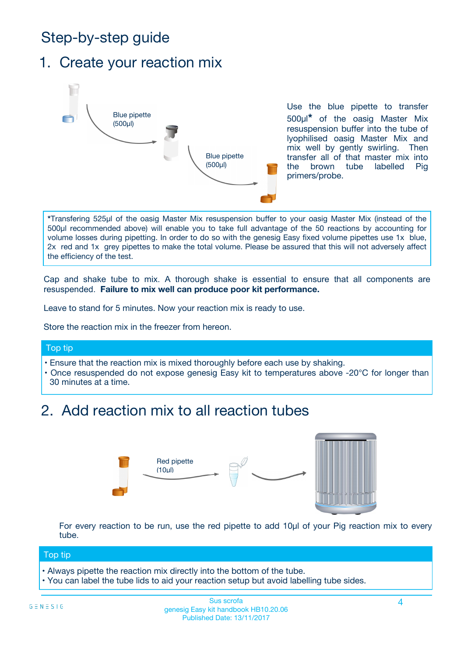# Step-by-step guide

### 1. Create your reaction mix



Use the blue pipette to transfer 500µl**\*** of the oasig Master Mix resuspension buffer into the tube of lyophilised oasig Master Mix and mix well by gently swirling. Then transfer all of that master mix into the brown tube labelled Pig primers/probe.

**\***Transfering 525µl of the oasig Master Mix resuspension buffer to your oasig Master Mix (instead of the 500µl recommended above) will enable you to take full advantage of the 50 reactions by accounting for volume losses during pipetting. In order to do so with the genesig Easy fixed volume pipettes use 1x blue, 2x red and 1x grey pipettes to make the total volume. Please be assured that this will not adversely affect the efficiency of the test.

Cap and shake tube to mix. A thorough shake is essential to ensure that all components are resuspended. **Failure to mix well can produce poor kit performance.**

Leave to stand for 5 minutes. Now your reaction mix is ready to use.

Store the reaction mix in the freezer from hereon.

#### Top tip

- Ensure that the reaction mix is mixed thoroughly before each use by shaking.
- **•** Once resuspended do not expose genesig Easy kit to temperatures above -20°C for longer than 30 minutes at a time.

## 2. Add reaction mix to all reaction tubes



For every reaction to be run, use the red pipette to add 10µl of your Pig reaction mix to every tube.

#### Top tip

- Always pipette the reaction mix directly into the bottom of the tube.
- You can label the tube lids to aid your reaction setup but avoid labelling tube sides.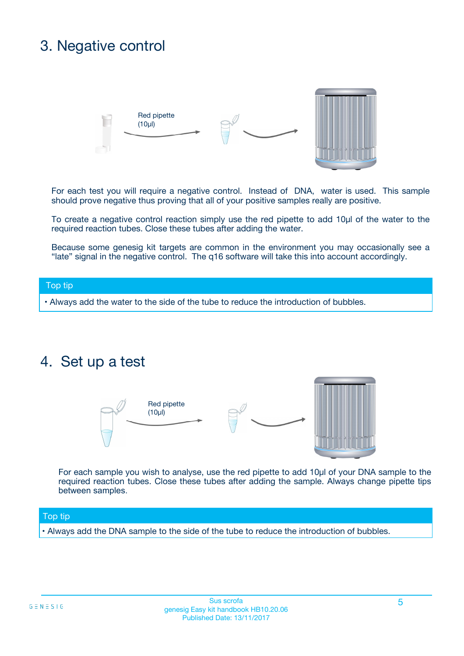# 3. Negative control



For each test you will require a negative control. Instead of DNA, water is used. This sample should prove negative thus proving that all of your positive samples really are positive.

To create a negative control reaction simply use the red pipette to add 10µl of the water to the required reaction tubes. Close these tubes after adding the water.

Because some genesig kit targets are common in the environment you may occasionally see a "late" signal in the negative control. The q16 software will take this into account accordingly.

#### Top tip

**•** Always add the water to the side of the tube to reduce the introduction of bubbles.

### 4. Set up a test



For each sample you wish to analyse, use the red pipette to add 10µl of your DNA sample to the required reaction tubes. Close these tubes after adding the sample. Always change pipette tips between samples.

#### Top tip

**•** Always add the DNA sample to the side of the tube to reduce the introduction of bubbles.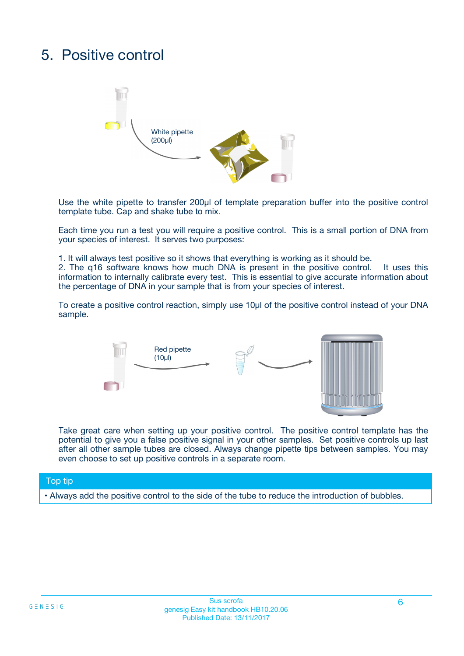# 5. Positive control



Use the white pipette to transfer 200µl of template preparation buffer into the positive control template tube. Cap and shake tube to mix.

Each time you run a test you will require a positive control. This is a small portion of DNA from your species of interest. It serves two purposes:

1. It will always test positive so it shows that everything is working as it should be.

2. The q16 software knows how much DNA is present in the positive control. It uses this information to internally calibrate every test. This is essential to give accurate information about the percentage of DNA in your sample that is from your species of interest.

To create a positive control reaction, simply use 10µl of the positive control instead of your DNA sample.



Take great care when setting up your positive control. The positive control template has the potential to give you a false positive signal in your other samples. Set positive controls up last after all other sample tubes are closed. Always change pipette tips between samples. You may even choose to set up positive controls in a separate room.

#### Top tip

**•** Always add the positive control to the side of the tube to reduce the introduction of bubbles.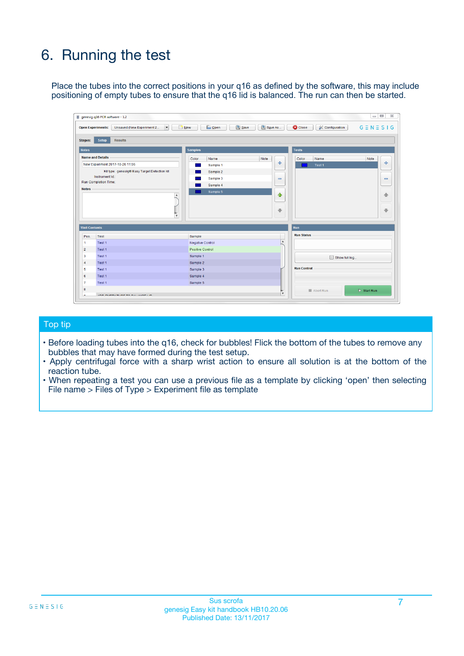# 6. Running the test

Place the tubes into the correct positions in your q16 as defined by the software, this may include positioning of empty tubes to ensure that the q16 lid is balanced. The run can then be started.

|                      | genesig q16 PCR software - 1.2                                                    |                                     | $\Box$                                                                     |
|----------------------|-----------------------------------------------------------------------------------|-------------------------------------|----------------------------------------------------------------------------|
|                      | <b>Open Experiments:</b><br>Unsaved (New Experiment 2<br>$\overline{\phantom{a}}$ | <b>E</b> Open<br>Save<br>$\Box$ New | Save As<br>$G \equiv N \equiv S \mid G$<br><b>C</b> Close<br>Configuration |
| Stages:              | Setup<br><b>Results</b>                                                           |                                     |                                                                            |
| <b>Notes</b>         |                                                                                   | <b>Samples</b>                      | <b>Tests</b>                                                               |
|                      | <b>Name and Details</b>                                                           | Note<br>Color<br>Name               | Color<br>Name<br>Note                                                      |
|                      | New Experiment 2017-10-26 11:06                                                   | Sample 1                            | 유<br>÷<br>Test <sub>1</sub>                                                |
|                      | Kit type: genesig® Easy Target Detection kit                                      | Sample 2                            |                                                                            |
|                      | Instrument Id.:                                                                   | Sample 3                            | $\qquad \qquad \blacksquare$<br>$\qquad \qquad \blacksquare$               |
|                      | <b>Run Completion Time:</b>                                                       | Sample 4                            |                                                                            |
| <b>Notes</b>         | $\blacktriangle$                                                                  | Sample 5                            | ♦                                                                          |
|                      |                                                                                   |                                     | 4                                                                          |
|                      |                                                                                   |                                     |                                                                            |
|                      |                                                                                   |                                     | ÷<br>€                                                                     |
|                      | $\overline{\mathbf{v}}$                                                           |                                     |                                                                            |
| <b>Well Contents</b> |                                                                                   |                                     | Run                                                                        |
| Pos.                 | Test                                                                              | Sample                              | <b>Run Status</b>                                                          |
| 1                    | Test 1                                                                            | <b>Negative Control</b>             | $\blacktriangle$                                                           |
| $\overline{2}$       | Test 1                                                                            | <b>Positive Control</b>             |                                                                            |
| 3                    | Test 1                                                                            | Sample 1                            | Show full log                                                              |
| $\overline{4}$       | Test 1                                                                            | Sample 2                            |                                                                            |
| 5                    | Test 1                                                                            | Sample 3                            | <b>Run Control</b>                                                         |
| 6                    | Test 1                                                                            | Sample 4                            |                                                                            |
| $\overline{7}$       | Test 1                                                                            | Sample 5                            |                                                                            |
|                      |                                                                                   |                                     |                                                                            |
| 8                    |                                                                                   |                                     | $\triangleright$ Start Run<br>Abort Run<br>$\overline{\mathbf v}$          |

#### Top tip

- Before loading tubes into the q16, check for bubbles! Flick the bottom of the tubes to remove any bubbles that may have formed during the test setup.
- Apply centrifugal force with a sharp wrist action to ensure all solution is at the bottom of the reaction tube.
- When repeating a test you can use a previous file as a template by clicking 'open' then selecting File name > Files of Type > Experiment file as template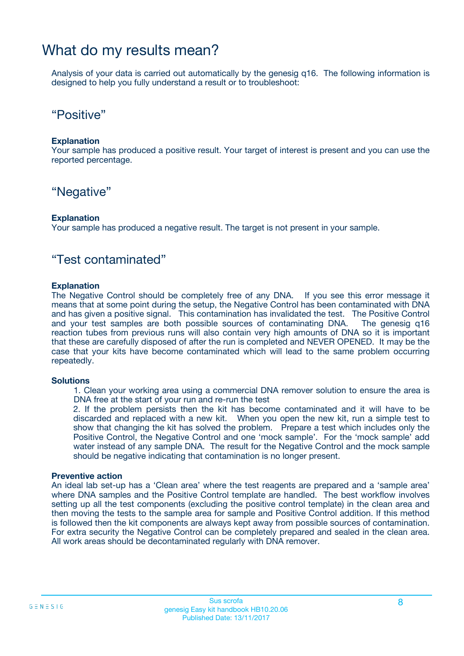### What do my results mean?

Analysis of your data is carried out automatically by the genesig q16. The following information is designed to help you fully understand a result or to troubleshoot:

### "Positive"

#### **Explanation**

Your sample has produced a positive result. Your target of interest is present and you can use the reported percentage.

### "Negative"

#### **Explanation**

Your sample has produced a negative result. The target is not present in your sample.

### "Test contaminated"

#### **Explanation**

The Negative Control should be completely free of any DNA. If you see this error message it means that at some point during the setup, the Negative Control has been contaminated with DNA and has given a positive signal. This contamination has invalidated the test. The Positive Control and your test samples are both possible sources of contaminating DNA. The genesig q16 reaction tubes from previous runs will also contain very high amounts of DNA so it is important that these are carefully disposed of after the run is completed and NEVER OPENED. It may be the case that your kits have become contaminated which will lead to the same problem occurring repeatedly.

#### **Solutions**

1. Clean your working area using a commercial DNA remover solution to ensure the area is DNA free at the start of your run and re-run the test

2. If the problem persists then the kit has become contaminated and it will have to be discarded and replaced with a new kit. When you open the new kit, run a simple test to show that changing the kit has solved the problem. Prepare a test which includes only the Positive Control, the Negative Control and one 'mock sample'. For the 'mock sample' add water instead of any sample DNA. The result for the Negative Control and the mock sample should be negative indicating that contamination is no longer present.

#### **Preventive action**

An ideal lab set-up has a 'Clean area' where the test reagents are prepared and a 'sample area' where DNA samples and the Positive Control template are handled. The best workflow involves setting up all the test components (excluding the positive control template) in the clean area and then moving the tests to the sample area for sample and Positive Control addition. If this method is followed then the kit components are always kept away from possible sources of contamination. For extra security the Negative Control can be completely prepared and sealed in the clean area. All work areas should be decontaminated regularly with DNA remover.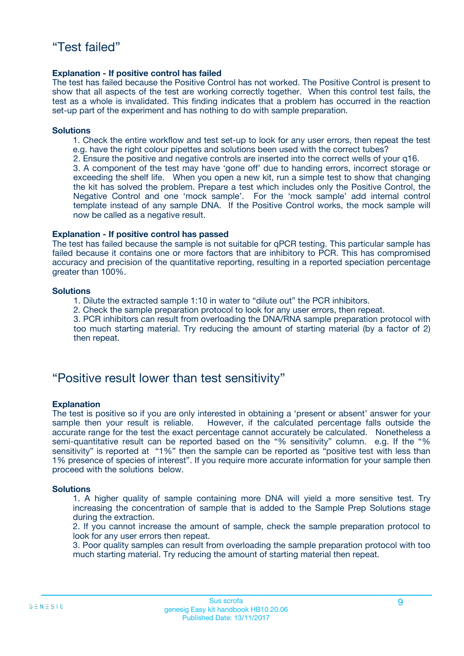#### **Explanation - If positive control has failed**

The test has failed because the Positive Control has not worked. The Positive Control is present to show that all aspects of the test are working correctly together. When this control test fails, the test as a whole is invalidated. This finding indicates that a problem has occurred in the reaction set-up part of the experiment and has nothing to do with sample preparation.

#### **Solutions**

- 1. Check the entire workflow and test set-up to look for any user errors, then repeat the test e.g. have the right colour pipettes and solutions been used with the correct tubes?
- 2. Ensure the positive and negative controls are inserted into the correct wells of your q16.

3. A component of the test may have 'gone off' due to handing errors, incorrect storage or exceeding the shelf life. When you open a new kit, run a simple test to show that changing the kit has solved the problem. Prepare a test which includes only the Positive Control, the Negative Control and one 'mock sample'. For the 'mock sample' add internal control template instead of any sample DNA. If the Positive Control works, the mock sample will now be called as a negative result.

#### **Explanation - If positive control has passed**

The test has failed because the sample is not suitable for qPCR testing. This particular sample has failed because it contains one or more factors that are inhibitory to PCR. This has compromised accuracy and precision of the quantitative reporting, resulting in a reported speciation percentage greater than 100%.

#### **Solutions**

- 1. Dilute the extracted sample 1:10 in water to "dilute out" the PCR inhibitors.
- 2. Check the sample preparation protocol to look for any user errors, then repeat.

3. PCR inhibitors can result from overloading the DNA/RNA sample preparation protocol with too much starting material. Try reducing the amount of starting material (by a factor of 2) then repeat.

### "Positive result lower than test sensitivity"

#### **Explanation**

The test is positive so if you are only interested in obtaining a 'present or absent' answer for your sample then your result is reliable. However, if the calculated percentage falls outside the accurate range for the test the exact percentage cannot accurately be calculated. Nonetheless a semi-quantitative result can be reported based on the "% sensitivity" column. e.g. If the "% sensitivity" is reported at "1%" then the sample can be reported as "positive test with less than 1% presence of species of interest". If you require more accurate information for your sample then proceed with the solutions below.

#### **Solutions**

1. A higher quality of sample containing more DNA will yield a more sensitive test. Try increasing the concentration of sample that is added to the Sample Prep Solutions stage during the extraction.

2. If you cannot increase the amount of sample, check the sample preparation protocol to look for any user errors then repeat.

3. Poor quality samples can result from overloading the sample preparation protocol with too much starting material. Try reducing the amount of starting material then repeat.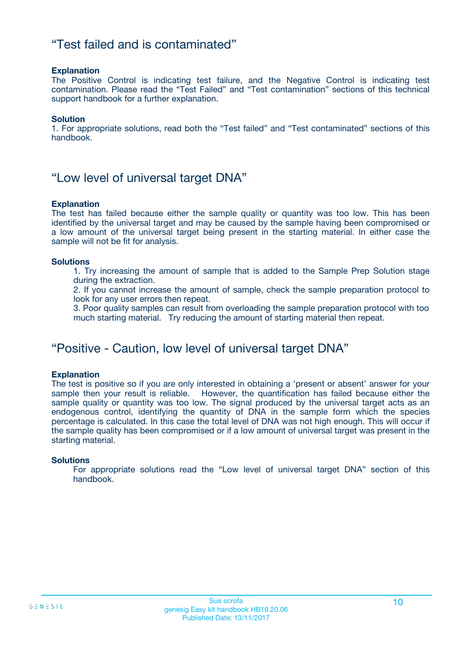### "Test failed and is contaminated"

#### **Explanation**

The Positive Control is indicating test failure, and the Negative Control is indicating test contamination. Please read the "Test Failed" and "Test contamination" sections of this technical support handbook for a further explanation.

#### **Solution**

1. For appropriate solutions, read both the "Test failed" and "Test contaminated" sections of this handbook.

### "Low level of universal target DNA"

#### **Explanation**

The test has failed because either the sample quality or quantity was too low. This has been identified by the universal target and may be caused by the sample having been compromised or a low amount of the universal target being present in the starting material. In either case the sample will not be fit for analysis.

#### **Solutions**

1. Try increasing the amount of sample that is added to the Sample Prep Solution stage during the extraction.

2. If you cannot increase the amount of sample, check the sample preparation protocol to look for any user errors then repeat.

3. Poor quality samples can result from overloading the sample preparation protocol with too much starting material. Try reducing the amount of starting material then repeat.

### "Positive - Caution, low level of universal target DNA"

#### **Explanation**

The test is positive so if you are only interested in obtaining a 'present or absent' answer for your sample then your result is reliable. However, the quantification has failed because either the sample quality or quantity was too low. The signal produced by the universal target acts as an endogenous control, identifying the quantity of DNA in the sample form which the species percentage is calculated. In this case the total level of DNA was not high enough. This will occur if the sample quality has been compromised or if a low amount of universal target was present in the starting material.

#### **Solutions**

For appropriate solutions read the "Low level of universal target DNA" section of this handbook.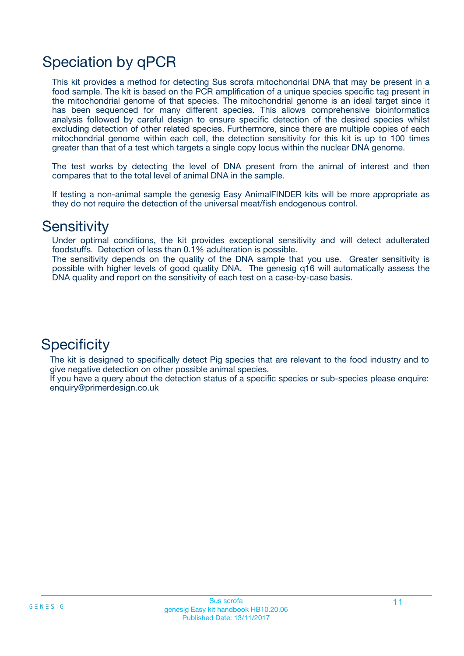# Speciation by qPCR

This kit provides a method for detecting Sus scrofa mitochondrial DNA that may be present in a food sample. The kit is based on the PCR amplification of a unique species specific tag present in the mitochondrial genome of that species. The mitochondrial genome is an ideal target since it has been sequenced for many different species. This allows comprehensive bioinformatics analysis followed by careful design to ensure specific detection of the desired species whilst excluding detection of other related species. Furthermore, since there are multiple copies of each mitochondrial genome within each cell, the detection sensitivity for this kit is up to 100 times greater than that of a test which targets a single copy locus within the nuclear DNA genome.

The test works by detecting the level of DNA present from the animal of interest and then compares that to the total level of animal DNA in the sample.

If testing a non-animal sample the genesig Easy AnimalFINDER kits will be more appropriate as they do not require the detection of the universal meat/fish endogenous control.

### **Sensitivity**

Under optimal conditions, the kit provides exceptional sensitivity and will detect adulterated foodstuffs. Detection of less than 0.1% adulteration is possible.

The sensitivity depends on the quality of the DNA sample that you use. Greater sensitivity is possible with higher levels of good quality DNA. The genesig q16 will automatically assess the DNA quality and report on the sensitivity of each test on a case-by-case basis.

### **Specificity**

The kit is designed to specifically detect Pig species that are relevant to the food industry and to give negative detection on other possible animal species.

If you have a query about the detection status of a specific species or sub-species please enquire: enquiry@primerdesign.co.uk